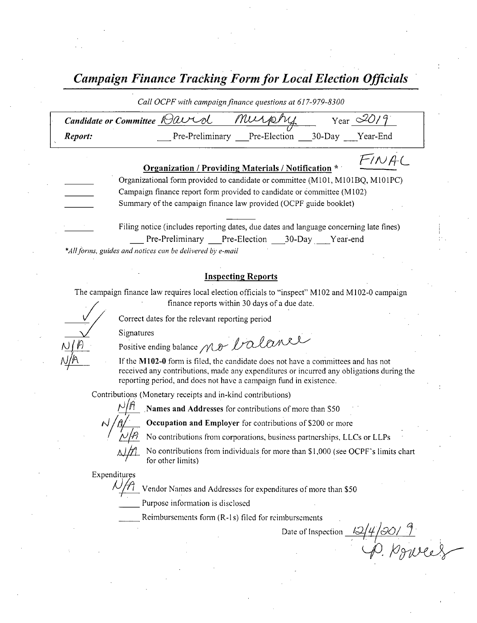Campaign Finance Tracking Form for Local Election Officials

|                                                                                                                                                                                                                              | Call OCPF with campaign finance questions at 617-979-8300                     |                                                                                                                                        |  |  |  |  |  |  |
|------------------------------------------------------------------------------------------------------------------------------------------------------------------------------------------------------------------------------|-------------------------------------------------------------------------------|----------------------------------------------------------------------------------------------------------------------------------------|--|--|--|--|--|--|
|                                                                                                                                                                                                                              | Candidate or Committee <i>Qavid Murphy</i><br>Year $\mathscr{L}O/\mathscr{G}$ |                                                                                                                                        |  |  |  |  |  |  |
|                                                                                                                                                                                                                              | Report:                                                                       | Pre-Preliminary Pre-Election 30-Day Year-End                                                                                           |  |  |  |  |  |  |
|                                                                                                                                                                                                                              |                                                                               | Organization / Providing Materials / Notification * *                                                                                  |  |  |  |  |  |  |
| Organizational form provided to candidate or committee (M101, M101BQ, M101PC)<br>Campaign finance report form provided to candidate or committee (M102)<br>Summary of the campaign finance law provided (OCPF guide booklet) |                                                                               |                                                                                                                                        |  |  |  |  |  |  |
|                                                                                                                                                                                                                              |                                                                               | Filing notice (includes reporting dates, due dates and language concerning late fines)<br>Pre-Preliminary Pre-Election 30-Day Year-end |  |  |  |  |  |  |

\*All forms, guides and notices can be delivered by e-mail

## Inspecting Reports

The campaign finance law requires local election officials to "inspect" M102 and M102-0 campaign finance reports within 30 days of <sup>a</sup> due date.

Correct dates for the relevant reporting period

Signatures

Positive ending balance no Valance

If the M102-0 form is filed, the candidate does not have a committees and has not received any contributions, made any expenditures or incurred any obligations during the reporting period, and does not have a campaign fund in existence.

Contributions ( Monetary receipts and in- kind contributions)

Names and Addresses for contributions of more than S50

Occupation and Employer for contributions of \$200 or more

No contributions from corporations, business partnerships, LLCs or LLPs



No contributions from individuals for more than \$1,000 (see OCPF's limits chart for other limits)

Expenditures

Vendor Names and Addresses for expenditures of more than \$50

Purpose information is disclosed

Reimbursements form  $(R-1s)$  filed for reimbursements

Date of Inspection 14 J S C